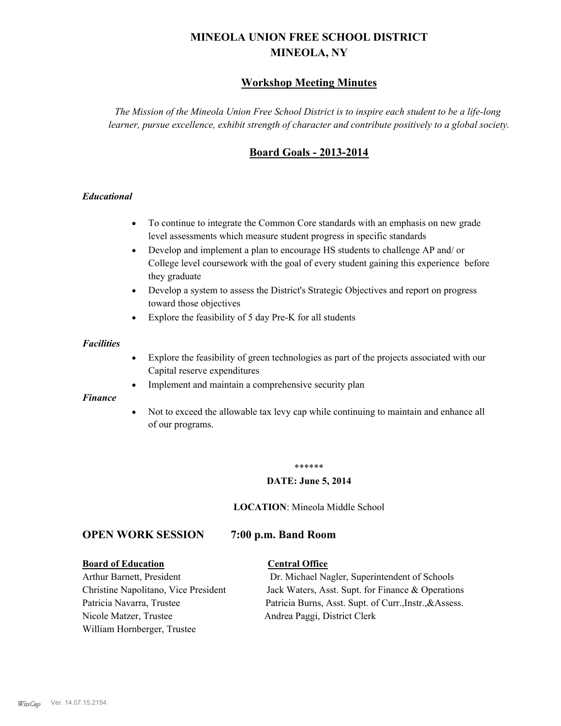# **MINEOLA UNION FREE SCHOOL DISTRICT MINEOLA, NY**

## **Workshop Meeting Minutes**

*The Mission of the Mineola Union Free School District is to inspire each student to be a life-long learner, pursue excellence, exhibit strength of character and contribute positively to a global society.*

## **Board Goals - 2013-2014**

## *Educational*

- · To continue to integrate the Common Core standards with an emphasis on new grade level assessments which measure student progress in specific standards
- · Develop and implement a plan to encourage HS students to challenge AP and/ or College level coursework with the goal of every student gaining this experience before they graduate
- Develop a system to assess the District's Strategic Objectives and report on progress toward those objectives
- · Explore the feasibility of 5 day Pre-K for all students

#### *Facilities*

- · Explore the feasibility of green technologies as part of the projects associated with our Capital reserve expenditures
- Implement and maintain a comprehensive security plan

#### *Finance*

• Not to exceed the allowable tax levy cap while continuing to maintain and enhance all of our programs.

#### \*\*\*\*\*\*

#### **DATE: June 5, 2014**

**LOCATION**: Mineola Middle School

## **OPEN WORK SESSION 7:00 p.m. Band Room**

#### **Board of Education Central Office**

Nicole Matzer, Trustee Andrea Paggi, District Clerk William Hornberger, Trustee

Arthur Barnett, President Dr. Michael Nagler, Superintendent of Schools Christine Napolitano, Vice President Jack Waters, Asst. Supt. for Finance & Operations Patricia Navarra, Trustee Patricia Burns, Asst. Supt. of Curr., Instr., &Assess.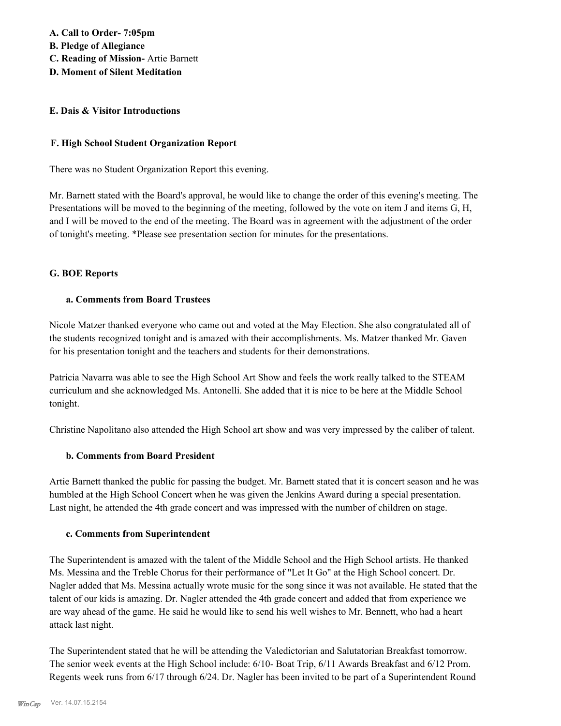**A. Call to Order- 7:05pm B. Pledge of Allegiance C. Reading of Mission-** Artie Barnett **D. Moment of Silent Meditation**

### **E. Dais & Visitor Introductions**

### **F. High School Student Organization Report**

There was no Student Organization Report this evening.

Mr. Barnett stated with the Board's approval, he would like to change the order of this evening's meeting. The Presentations will be moved to the beginning of the meeting, followed by the vote on item J and items G, H, and I will be moved to the end of the meeting. The Board was in agreement with the adjustment of the order of tonight's meeting. \*Please see presentation section for minutes for the presentations.

#### **G. BOE Reports**

## **a. Comments from Board Trustees**

Nicole Matzer thanked everyone who came out and voted at the May Election. She also congratulated all of the students recognized tonight and is amazed with their accomplishments. Ms. Matzer thanked Mr. Gaven for his presentation tonight and the teachers and students for their demonstrations.

Patricia Navarra was able to see the High School Art Show and feels the work really talked to the STEAM curriculum and she acknowledged Ms. Antonelli. She added that it is nice to be here at the Middle School tonight.

Christine Napolitano also attended the High School art show and was very impressed by the caliber of talent.

### **b. Comments from Board President**

Artie Barnett thanked the public for passing the budget. Mr. Barnett stated that it is concert season and he was humbled at the High School Concert when he was given the Jenkins Award during a special presentation. Last night, he attended the 4th grade concert and was impressed with the number of children on stage.

#### **c. Comments from Superintendent**

The Superintendent is amazed with the talent of the Middle School and the High School artists. He thanked Ms. Messina and the Treble Chorus for their performance of "Let It Go" at the High School concert. Dr. Nagler added that Ms. Messina actually wrote music for the song since it was not available. He stated that the talent of our kids is amazing. Dr. Nagler attended the 4th grade concert and added that from experience we are way ahead of the game. He said he would like to send his well wishes to Mr. Bennett, who had a heart attack last night.

The Superintendent stated that he will be attending the Valedictorian and Salutatorian Breakfast tomorrow. The senior week events at the High School include: 6/10- Boat Trip, 6/11 Awards Breakfast and 6/12 Prom. Regents week runs from 6/17 through 6/24. Dr. Nagler has been invited to be part of a Superintendent Round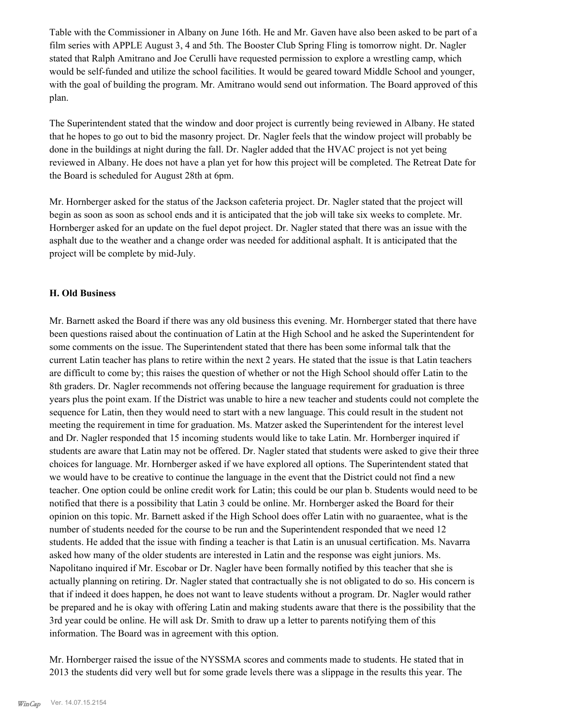Table with the Commissioner in Albany on June 16th. He and Mr. Gaven have also been asked to be part of a film series with APPLE August 3, 4 and 5th. The Booster Club Spring Fling is tomorrow night. Dr. Nagler stated that Ralph Amitrano and Joe Cerulli have requested permission to explore a wrestling camp, which would be self-funded and utilize the school facilities. It would be geared toward Middle School and younger, with the goal of building the program. Mr. Amitrano would send out information. The Board approved of this plan.

The Superintendent stated that the window and door project is currently being reviewed in Albany. He stated that he hopes to go out to bid the masonry project. Dr. Nagler feels that the window project will probably be done in the buildings at night during the fall. Dr. Nagler added that the HVAC project is not yet being reviewed in Albany. He does not have a plan yet for how this project will be completed. The Retreat Date for the Board is scheduled for August 28th at 6pm.

Mr. Hornberger asked for the status of the Jackson cafeteria project. Dr. Nagler stated that the project will begin as soon as soon as school ends and it is anticipated that the job will take six weeks to complete. Mr. Hornberger asked for an update on the fuel depot project. Dr. Nagler stated that there was an issue with the asphalt due to the weather and a change order was needed for additional asphalt. It is anticipated that the project will be complete by mid-July.

#### **H. Old Business**

Mr. Barnett asked the Board if there was any old business this evening. Mr. Hornberger stated that there have been questions raised about the continuation of Latin at the High School and he asked the Superintendent for some comments on the issue. The Superintendent stated that there has been some informal talk that the current Latin teacher has plans to retire within the next 2 years. He stated that the issue is that Latin teachers are difficult to come by; this raises the question of whether or not the High School should offer Latin to the 8th graders. Dr. Nagler recommends not offering because the language requirement for graduation is three years plus the point exam. If the District was unable to hire a new teacher and students could not complete the sequence for Latin, then they would need to start with a new language. This could result in the student not meeting the requirement in time for graduation. Ms. Matzer asked the Superintendent for the interest level and Dr. Nagler responded that 15 incoming students would like to take Latin. Mr. Hornberger inquired if students are aware that Latin may not be offered. Dr. Nagler stated that students were asked to give their three choices for language. Mr. Hornberger asked if we have explored all options. The Superintendent stated that we would have to be creative to continue the language in the event that the District could not find a new teacher. One option could be online credit work for Latin; this could be our plan b. Students would need to be notified that there is a possibility that Latin 3 could be online. Mr. Hornberger asked the Board for their opinion on this topic. Mr. Barnett asked if the High School does offer Latin with no guaraentee, what is the number of students needed for the course to be run and the Superintendent responded that we need 12 students. He added that the issue with finding a teacher is that Latin is an unusual certification. Ms. Navarra asked how many of the older students are interested in Latin and the response was eight juniors. Ms. Napolitano inquired if Mr. Escobar or Dr. Nagler have been formally notified by this teacher that she is actually planning on retiring. Dr. Nagler stated that contractually she is not obligated to do so. His concern is that if indeed it does happen, he does not want to leave students without a program. Dr. Nagler would rather be prepared and he is okay with offering Latin and making students aware that there is the possibility that the 3rd year could be online. He will ask Dr. Smith to draw up a letter to parents notifying them of this information. The Board was in agreement with this option.

Mr. Hornberger raised the issue of the NYSSMA scores and comments made to students. He stated that in 2013 the students did very well but for some grade levels there was a slippage in the results this year. The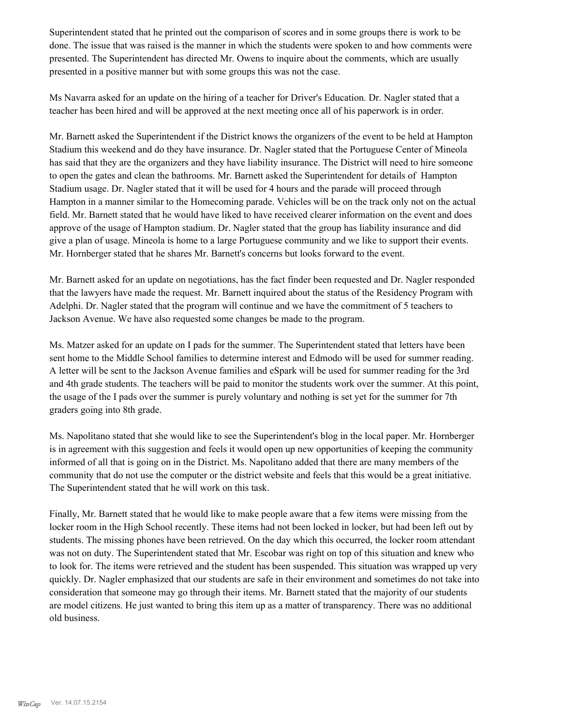Superintendent stated that he printed out the comparison of scores and in some groups there is work to be done. The issue that was raised is the manner in which the students were spoken to and how comments were presented. The Superintendent has directed Mr. Owens to inquire about the comments, which are usually presented in a positive manner but with some groups this was not the case.

Ms Navarra asked for an update on the hiring of a teacher for Driver's Education. Dr. Nagler stated that a teacher has been hired and will be approved at the next meeting once all of his paperwork is in order.

Mr. Barnett asked the Superintendent if the District knows the organizers of the event to be held at Hampton Stadium this weekend and do they have insurance. Dr. Nagler stated that the Portuguese Center of Mineola has said that they are the organizers and they have liability insurance. The District will need to hire someone to open the gates and clean the bathrooms. Mr. Barnett asked the Superintendent for details of Hampton Stadium usage. Dr. Nagler stated that it will be used for 4 hours and the parade will proceed through Hampton in a manner similar to the Homecoming parade. Vehicles will be on the track only not on the actual field. Mr. Barnett stated that he would have liked to have received clearer information on the event and does approve of the usage of Hampton stadium. Dr. Nagler stated that the group has liability insurance and did give a plan of usage. Mineola is home to a large Portuguese community and we like to support their events. Mr. Hornberger stated that he shares Mr. Barnett's concerns but looks forward to the event.

Mr. Barnett asked for an update on negotiations, has the fact finder been requested and Dr. Nagler responded that the lawyers have made the request. Mr. Barnett inquired about the status of the Residency Program with Adelphi. Dr. Nagler stated that the program will continue and we have the commitment of 5 teachers to Jackson Avenue. We have also requested some changes be made to the program.

Ms. Matzer asked for an update on I pads for the summer. The Superintendent stated that letters have been sent home to the Middle School families to determine interest and Edmodo will be used for summer reading. A letter will be sent to the Jackson Avenue families and eSpark will be used for summer reading for the 3rd and 4th grade students. The teachers will be paid to monitor the students work over the summer. At this point, the usage of the I pads over the summer is purely voluntary and nothing is set yet for the summer for 7th graders going into 8th grade.

Ms. Napolitano stated that she would like to see the Superintendent's blog in the local paper. Mr. Hornberger is in agreement with this suggestion and feels it would open up new opportunities of keeping the community informed of all that is going on in the District. Ms. Napolitano added that there are many members of the community that do not use the computer or the district website and feels that this would be a great initiative. The Superintendent stated that he will work on this task.

Finally, Mr. Barnett stated that he would like to make people aware that a few items were missing from the locker room in the High School recently. These items had not been locked in locker, but had been left out by students. The missing phones have been retrieved. On the day which this occurred, the locker room attendant was not on duty. The Superintendent stated that Mr. Escobar was right on top of this situation and knew who to look for. The items were retrieved and the student has been suspended. This situation was wrapped up very quickly. Dr. Nagler emphasized that our students are safe in their environment and sometimes do not take into consideration that someone may go through their items. Mr. Barnett stated that the majority of our students are model citizens. He just wanted to bring this item up as a matter of transparency. There was no additional old business.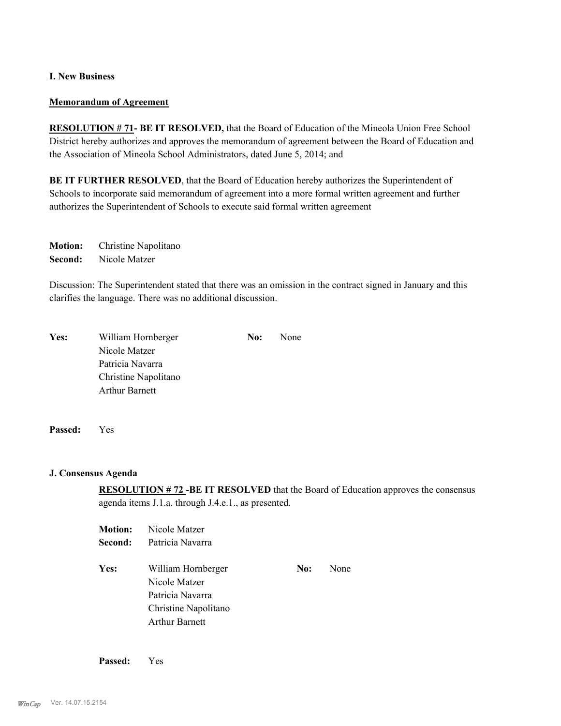## **I. New Business**

#### **Memorandum of Agreement**

**RESOLUTION # 71- BE IT RESOLVED,** that the Board of Education of the Mineola Union Free School District hereby authorizes and approves the memorandum of agreement between the Board of Education and the Association of Mineola School Administrators, dated June 5, 2014; and

**BE IT FURTHER RESOLVED**, that the Board of Education hereby authorizes the Superintendent of Schools to incorporate said memorandum of agreement into a more formal written agreement and further authorizes the Superintendent of Schools to execute said formal written agreement

**Motion:** Christine Napolitano **Second:** Nicole Matzer

Discussion: The Superintendent stated that there was an omission in the contract signed in January and this clarifies the language. There was no additional discussion.

| Yes: | William Hornberger    | No: | None |
|------|-----------------------|-----|------|
|      | Nicole Matzer         |     |      |
|      | Patricia Navarra      |     |      |
|      | Christine Napolitano  |     |      |
|      | <b>Arthur Barnett</b> |     |      |
|      |                       |     |      |

**Passed:** Yes

#### **J. Consensus Agenda**

**RESOLUTION # 72 -BE IT RESOLVED** that the Board of Education approves the consensus agenda items J.1.a. through J.4.e.1., as presented.

| <b>Motion:</b> | Nicole Matzer                       |     |      |
|----------------|-------------------------------------|-----|------|
| Second:        | Patricia Navarra                    |     |      |
| Yes:           | William Hornberger<br>Nicole Matzer | No: | None |
|                | Patricia Navarra                    |     |      |
|                | Christine Napolitano                |     |      |
|                | <b>Arthur Barnett</b>               |     |      |

**Passed:** Yes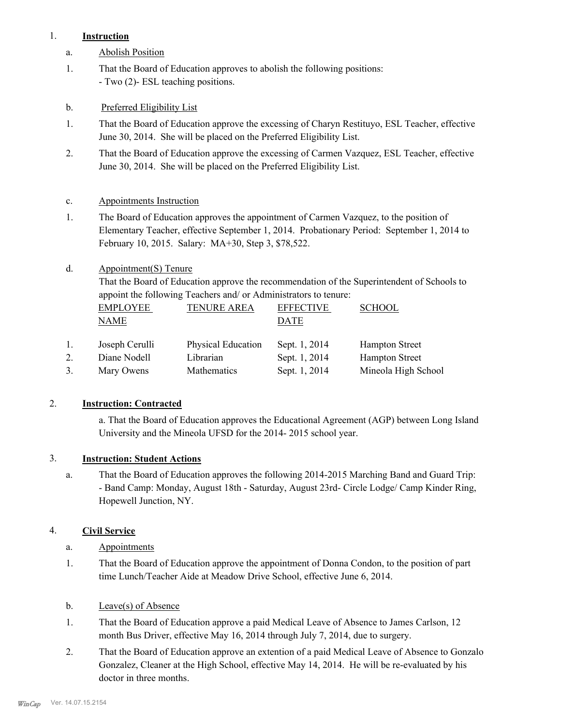## 1. **Instruction**

- a. Abolish Position
- That the Board of Education approves to abolish the following positions: - Two (2)- ESL teaching positions. 1.
- b. Preferred Eligibility List
- That the Board of Education approve the excessing of Charyn Restituyo, ESL Teacher, effective June 30, 2014. She will be placed on the Preferred Eligibility List. 1.
- That the Board of Education approve the excessing of Carmen Vazquez, ESL Teacher, effective June 30, 2014. She will be placed on the Preferred Eligibility List. 2.

## c. Appointments Instruction

- The Board of Education approves the appointment of Carmen Vazquez, to the position of Elementary Teacher, effective September 1, 2014. Probationary Period: September 1, 2014 to February 10, 2015. Salary: MA+30, Step 3, \$78,522. 1.
- Appointment(S) Tenure d.

That the Board of Education approve the recommendation of the Superintendent of Schools to appoint the following Teachers and/ or Administrators to tenure:

|    | <b>EMPLOYEE</b> | <b>TENURE AREA</b>        | <b>EFFECTIVE</b> | <b>SCHOOL</b>         |
|----|-----------------|---------------------------|------------------|-----------------------|
|    | NAME            |                           | DATE             |                       |
| 1. | Joseph Cerulli  | <b>Physical Education</b> | Sept. 1, 2014    | <b>Hampton Street</b> |
| 2. | Diane Nodell    | Librarian                 | Sept. 1, 2014    | <b>Hampton Street</b> |
|    | Mary Owens      | Mathematics               | Sept. 1, 2014    | Mineola High School   |

## 2. **Instruction: Contracted**

a. That the Board of Education approves the Educational Agreement (AGP) between Long Island University and the Mineola UFSD for the 2014- 2015 school year.

## 3. **Instruction: Student Actions**

That the Board of Education approves the following 2014-2015 Marching Band and Guard Trip: - Band Camp: Monday, August 18th - Saturday, August 23rd- Circle Lodge/ Camp Kinder Ring, Hopewell Junction, NY. a.

## 4. **Civil Service**

- a. Appointments
- That the Board of Education approve the appointment of Donna Condon, to the position of part time Lunch/Teacher Aide at Meadow Drive School, effective June 6, 2014. 1.
- b. Leave(s) of Absence
- That the Board of Education approve a paid Medical Leave of Absence to James Carlson, 12 month Bus Driver, effective May 16, 2014 through July 7, 2014, due to surgery. 1.
- That the Board of Education approve an extention of a paid Medical Leave of Absence to Gonzalo Gonzalez, Cleaner at the High School, effective May 14, 2014. He will be re-evaluated by his doctor in three months. 2.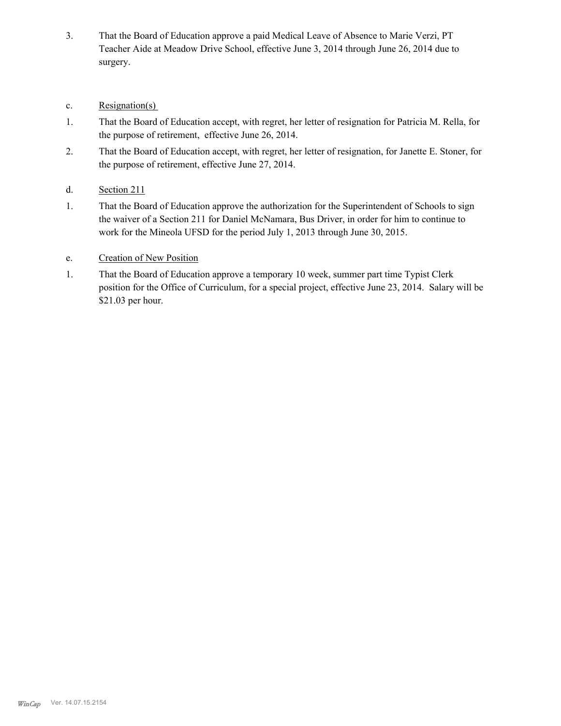- That the Board of Education approve a paid Medical Leave of Absence to Marie Verzi, PT Teacher Aide at Meadow Drive School, effective June 3, 2014 through June 26, 2014 due to surgery. 3.
- c. Resignation(s)
- That the Board of Education accept, with regret, her letter of resignation for Patricia M. Rella, for the purpose of retirement, effective June 26, 2014. 1.
- That the Board of Education accept, with regret, her letter of resignation, for Janette E. Stoner, for the purpose of retirement, effective June 27, 2014. 2.
- d. Section 211
- That the Board of Education approve the authorization for the Superintendent of Schools to sign the waiver of a Section 211 for Daniel McNamara, Bus Driver, in order for him to continue to work for the Mineola UFSD for the period July 1, 2013 through June 30, 2015. 1.
- e. Creation of New Position
- That the Board of Education approve a temporary 10 week, summer part time Typist Clerk position for the Office of Curriculum, for a special project, effective June 23, 2014. Salary will be \$21.03 per hour. 1.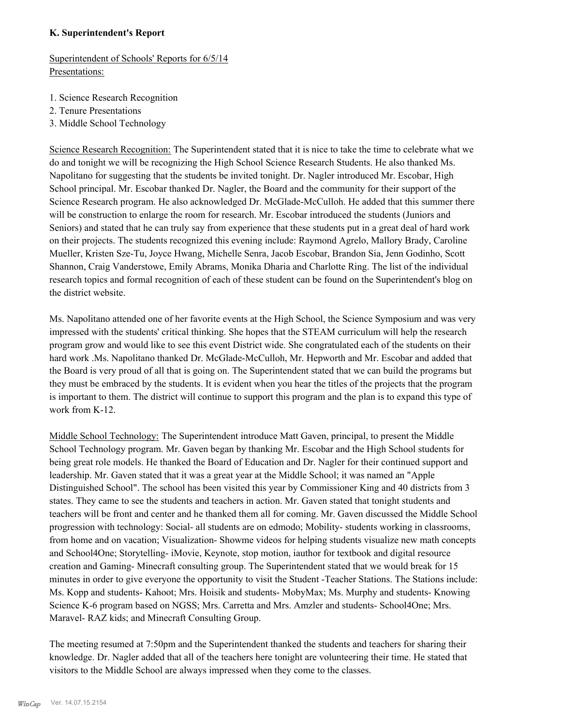## **K. Superintendent's Report**

Superintendent of Schools' Reports for 6/5/14 Presentations:

- 1. Science Research Recognition
- 2. Tenure Presentations
- 3. Middle School Technology

Science Research Recognition: The Superintendent stated that it is nice to take the time to celebrate what we do and tonight we will be recognizing the High School Science Research Students. He also thanked Ms. Napolitano for suggesting that the students be invited tonight. Dr. Nagler introduced Mr. Escobar, High School principal. Mr. Escobar thanked Dr. Nagler, the Board and the community for their support of the Science Research program. He also acknowledged Dr. McGlade-McCulloh. He added that this summer there will be construction to enlarge the room for research. Mr. Escobar introduced the students (Juniors and Seniors) and stated that he can truly say from experience that these students put in a great deal of hard work on their projects. The students recognized this evening include: Raymond Agrelo, Mallory Brady, Caroline Mueller, Kristen Sze-Tu, Joyce Hwang, Michelle Senra, Jacob Escobar, Brandon Sia, Jenn Godinho, Scott Shannon, Craig Vanderstowe, Emily Abrams, Monika Dharia and Charlotte Ring. The list of the individual research topics and formal recognition of each of these student can be found on the Superintendent's blog on the district website.

Ms. Napolitano attended one of her favorite events at the High School, the Science Symposium and was very impressed with the students' critical thinking. She hopes that the STEAM curriculum will help the research program grow and would like to see this event District wide. She congratulated each of the students on their hard work .Ms. Napolitano thanked Dr. McGlade-McCulloh, Mr. Hepworth and Mr. Escobar and added that the Board is very proud of all that is going on. The Superintendent stated that we can build the programs but they must be embraced by the students. It is evident when you hear the titles of the projects that the program is important to them. The district will continue to support this program and the plan is to expand this type of work from K-12.

Middle School Technology: The Superintendent introduce Matt Gaven, principal, to present the Middle School Technology program. Mr. Gaven began by thanking Mr. Escobar and the High School students for being great role models. He thanked the Board of Education and Dr. Nagler for their continued support and leadership. Mr. Gaven stated that it was a great year at the Middle School; it was named an "Apple Distinguished School". The school has been visited this year by Commissioner King and 40 districts from 3 states. They came to see the students and teachers in action. Mr. Gaven stated that tonight students and teachers will be front and center and he thanked them all for coming. Mr. Gaven discussed the Middle School progression with technology: Social- all students are on edmodo; Mobility- students working in classrooms, from home and on vacation; Visualization- Showme videos for helping students visualize new math concepts and School4One; Storytelling- iMovie, Keynote, stop motion, iauthor for textbook and digital resource creation and Gaming- Minecraft consulting group. The Superintendent stated that we would break for 15 minutes in order to give everyone the opportunity to visit the Student -Teacher Stations. The Stations include: Ms. Kopp and students- Kahoot; Mrs. Hoisik and students- MobyMax; Ms. Murphy and students- Knowing Science K-6 program based on NGSS; Mrs. Carretta and Mrs. Amzler and students- School4One; Mrs. Maravel- RAZ kids; and Minecraft Consulting Group.

The meeting resumed at 7:50pm and the Superintendent thanked the students and teachers for sharing their knowledge. Dr. Nagler added that all of the teachers here tonight are volunteering their time. He stated that visitors to the Middle School are always impressed when they come to the classes.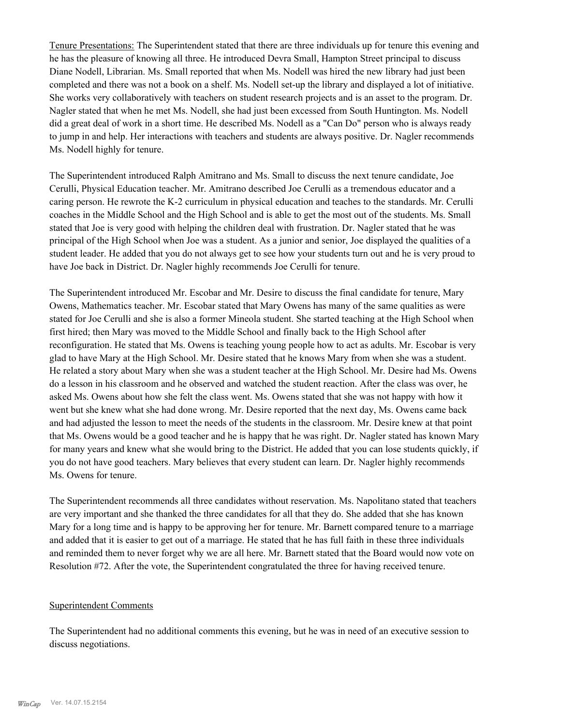Tenure Presentations: The Superintendent stated that there are three individuals up for tenure this evening and he has the pleasure of knowing all three. He introduced Devra Small, Hampton Street principal to discuss Diane Nodell, Librarian. Ms. Small reported that when Ms. Nodell was hired the new library had just been completed and there was not a book on a shelf. Ms. Nodell set-up the library and displayed a lot of initiative. She works very collaboratively with teachers on student research projects and is an asset to the program. Dr. Nagler stated that when he met Ms. Nodell, she had just been excessed from South Huntington. Ms. Nodell did a great deal of work in a short time. He described Ms. Nodell as a "Can Do" person who is always ready to jump in and help. Her interactions with teachers and students are always positive. Dr. Nagler recommends Ms. Nodell highly for tenure.

The Superintendent introduced Ralph Amitrano and Ms. Small to discuss the next tenure candidate, Joe Cerulli, Physical Education teacher. Mr. Amitrano described Joe Cerulli as a tremendous educator and a caring person. He rewrote the K-2 curriculum in physical education and teaches to the standards. Mr. Cerulli coaches in the Middle School and the High School and is able to get the most out of the students. Ms. Small stated that Joe is very good with helping the children deal with frustration. Dr. Nagler stated that he was principal of the High School when Joe was a student. As a junior and senior, Joe displayed the qualities of a student leader. He added that you do not always get to see how your students turn out and he is very proud to have Joe back in District. Dr. Nagler highly recommends Joe Cerulli for tenure.

The Superintendent introduced Mr. Escobar and Mr. Desire to discuss the final candidate for tenure, Mary Owens, Mathematics teacher. Mr. Escobar stated that Mary Owens has many of the same qualities as were stated for Joe Cerulli and she is also a former Mineola student. She started teaching at the High School when first hired; then Mary was moved to the Middle School and finally back to the High School after reconfiguration. He stated that Ms. Owens is teaching young people how to act as adults. Mr. Escobar is very glad to have Mary at the High School. Mr. Desire stated that he knows Mary from when she was a student. He related a story about Mary when she was a student teacher at the High School. Mr. Desire had Ms. Owens do a lesson in his classroom and he observed and watched the student reaction. After the class was over, he asked Ms. Owens about how she felt the class went. Ms. Owens stated that she was not happy with how it went but she knew what she had done wrong. Mr. Desire reported that the next day, Ms. Owens came back and had adjusted the lesson to meet the needs of the students in the classroom. Mr. Desire knew at that point that Ms. Owens would be a good teacher and he is happy that he was right. Dr. Nagler stated has known Mary for many years and knew what she would bring to the District. He added that you can lose students quickly, if you do not have good teachers. Mary believes that every student can learn. Dr. Nagler highly recommends Ms. Owens for tenure.

The Superintendent recommends all three candidates without reservation. Ms. Napolitano stated that teachers are very important and she thanked the three candidates for all that they do. She added that she has known Mary for a long time and is happy to be approving her for tenure. Mr. Barnett compared tenure to a marriage and added that it is easier to get out of a marriage. He stated that he has full faith in these three individuals and reminded them to never forget why we are all here. Mr. Barnett stated that the Board would now vote on Resolution #72. After the vote, the Superintendent congratulated the three for having received tenure.

#### Superintendent Comments

The Superintendent had no additional comments this evening, but he was in need of an executive session to discuss negotiations.